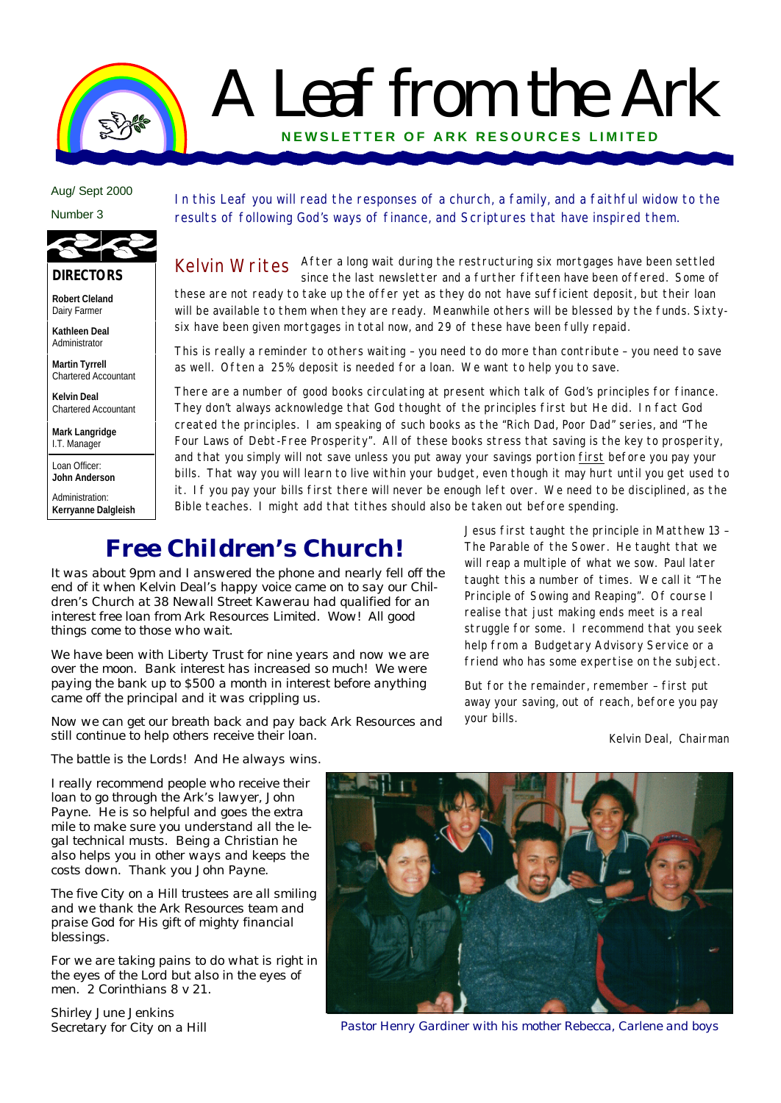# A Leaf from the Ark **NEWSLETTER OF ARK RE SOURCES LIMITED**

**June 2000** Aug/ Sept 2000

**Number 2** Number 3



### **DIRECTORS**

**Robert Cleland** Dairy Farmer

**Kathleen Deal** Administrator

**Martin Tyrrell** Chartered Accountant

**Kelvin Deal** Chartered Accountant

**Mark Langridge** I.T. Manager

Loan Officer: **John Anderson**

Administration: **Kerryanne Dalgleish**

#### In this Leaf you will read the responses of a church, a family, and a faithful widow to the results of following God's ways of finance, and Scriptures that have inspired them.

Kelvin Writes After a long wait during the restructuring six mortgages have been settled Kelvin Music Server of since the last newsletter and a further fifteen have been offered. Some of these are not ready to take up the offer yet as they do not have sufficient deposit, but their loan will be available to them when they are ready. Meanwhile others will be blessed by the funds. Sixtysix have been given mortgages in total now, and 29 of these have been fully repaid.

This is really a reminder to others waiting – you need to do more than contribute – you need to save as well. Often a 25% deposit is needed for a loan. We want to help you to save.

There are a number of good books circulating at present which talk of God's principles for finance. They don't always acknowledge that God thought of the principles first but He did. In fact God created the principles. I am speaking of such books as the "Rich Dad, Poor Dad" series, and "The Four Laws of Debt-Free Prosperity". All of these books stress that saving is the key to prosperity, and that you simply will not save unless you put away your savings portion first before you pay your bills. That way you will learn to live within your budget, even though it may hurt until you get used to it. If you pay your bills first there will never be enough left over. We need to be disciplined, as the Bible teaches. I might add that tithes should also be taken out before spending.

### *Free Children's Church!*

*It was about 9pm and I answered the phone and nearly fell off the end of it when Kelvin Deal's happy voice came on to say our Children's Church at 38 Newall Street Kawerau had qualified for an interest free loan from Ark Resources Limited. Wow! All good things come to those who wait.*

*We have been with Liberty Trust for nine years and now we are over the moon. Bank interest has increased so much! We were paying the bank up to \$500 a month in interest before anything came off the principal and it was crippling us.*

*Now we can get our breath back and pay back Ark Resources and still continue to help others receive their loan.*

Jesus first taught the principle in Matthew 13 – The Parable of the Sower. He taught that we will reap a multiple of what we sow. Paul later taught this a number of times. We call it "The Principle of Sowing and Reaping". Of course I realise that just making ends meet is a real struggle for some. I recommend that you seek help from a Budgetary Advisory Service or a friend who has some expertise on the subject.

But for the remainder, remember – first put away your saving, out of reach, before you pay your bills.

Kelvin Deal, Chairman

*The battle is the Lords! And He always wins.*

*I really recommend people who receive their loan to go through the Ark's lawyer, John Payne. He is so helpful and goes the extra mile to make sure you understand all the legal technical musts. Being a Christian he also helps you in other ways and keeps the costs down. Thank you John Payne.*

*The five City on a Hill trustees are all smiling and we thank the Ark Resources team and praise God for His gift of mighty financial blessings.*

*For we are taking pains to do what is right in the eyes of the Lord but also in the eyes of men. 2 Corinthians 8 v 21.*

*Shirley June Jenkins Secretary for City on a Hill*



*Pastor Henry Gardiner with his mother Rebecca, Carlene and boys*